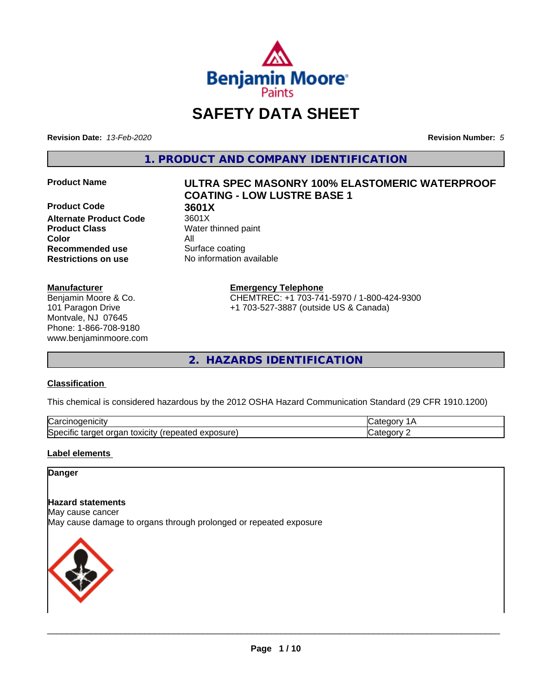

# **SAFETY DATA SHEET**

**Revision Date:** *13-Feb-2020* **Revision Number:** *5*

**1. PRODUCT AND COMPANY IDENTIFICATION**

**Product Code 618 3601X**<br>**Alternate Product Code** 3601X **Alternate Product Code Product Class** Water thinned paint **Color** All **Recommended use** Surface coating **Restrictions on use** No information available

### **Manufacturer**

Benjamin Moore & Co. 101 Paragon Drive Montvale, NJ 07645 Phone: 1-866-708-9180 www.benjaminmoore.com

# **Product Name ULTRA SPEC MASONRY 100% ELASTOMERIC WATERPROOF COATING - LOW LUSTRE BASE 1**

**Emergency Telephone**

CHEMTREC: +1 703-741-5970 / 1-800-424-9300 +1 703-527-3887 (outside US & Canada)

**2. HAZARDS IDENTIFICATION**

### **Classification**

This chemical is considered hazardous by the 2012 OSHA Hazard Communication Standard (29 CFR 1910.1200)

| ∽<br>.<br>∴ar س<br>'HCIT                                                                          | -- - -- |
|---------------------------------------------------------------------------------------------------|---------|
| วosure<br>. .<br>- - -<br>orgar<br>toxicity<br>$\sim$<br>SDe (<br>arget a<br>эн<br>Galty.<br>50.U | ----    |

### **Label elements**

### **Danger**

### **Hazard statements**

May cause cancer

May cause damage to organs through prolonged or repeated exposure

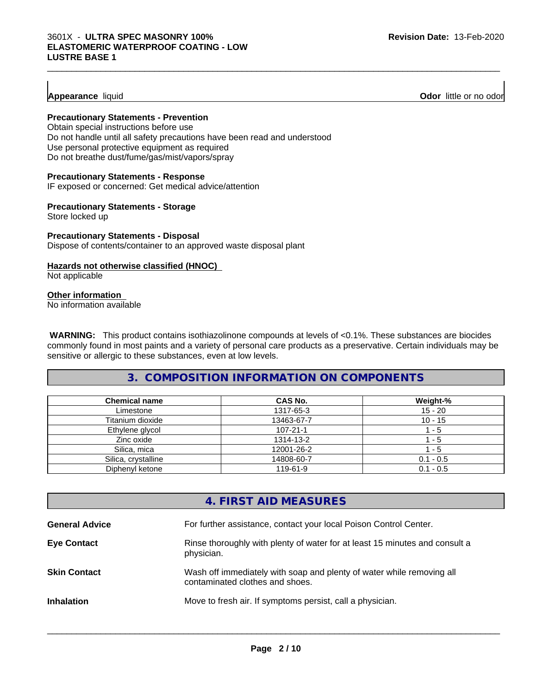### **Appearance** liquid **Odor 11** and **Odor 11** and **Odor 11** and **Odor 11** and **Odor 11** and **Odor 11** and **Odor** 11 and **Odor** 11 and **Odor** 11 and **Odor** 11 and **Odor** 11 and **Odor** 11 and **Odor** 11 and **Odor** 11 and **Odor**

### **Precautionary Statements - Prevention**

Obtain special instructions before use Do not handle until all safety precautions have been read and understood Use personal protective equipment as required Do not breathe dust/fume/gas/mist/vapors/spray

### **Precautionary Statements - Response**

IF exposed or concerned: Get medical advice/attention

### **Precautionary Statements - Storage**

Store locked up

### **Precautionary Statements - Disposal** Dispose of contents/container to an approved waste disposal plant

### **Hazards not otherwise classified (HNOC)**

Not applicable

### **Other information**

No information available

 **WARNING:** This product contains isothiazolinone compounds at levels of <0.1%. These substances are biocides commonly found in most paints and a variety of personal care products as a preservative. Certain individuals may be sensitive or allergic to these substances, even at low levels.

 $\_$  ,  $\_$  ,  $\_$  ,  $\_$  ,  $\_$  ,  $\_$  ,  $\_$  ,  $\_$  ,  $\_$  ,  $\_$  ,  $\_$  ,  $\_$  ,  $\_$  ,  $\_$  ,  $\_$  ,  $\_$  ,  $\_$  ,  $\_$  ,  $\_$  ,  $\_$  ,  $\_$  ,  $\_$  ,  $\_$  ,  $\_$  ,  $\_$  ,  $\_$  ,  $\_$  ,  $\_$  ,  $\_$  ,  $\_$  ,  $\_$  ,  $\_$  ,  $\_$  ,  $\_$  ,  $\_$  ,  $\_$  ,  $\_$  ,

### **3. COMPOSITION INFORMATION ON COMPONENTS**

| <b>Chemical name</b> | CAS No.        | Weight-%    |
|----------------------|----------------|-------------|
| Limestone            | 1317-65-3      | $15 - 20$   |
| Titanium dioxide     | 13463-67-7     | $10 - 15$   |
| Ethylene glycol      | $107 - 21 - 1$ | - 5         |
| Zinc oxide           | 1314-13-2      | - 5         |
| Silica, mica         | 12001-26-2     | - 5         |
| Silica, crystalline  | 14808-60-7     | $0.1 - 0.5$ |
| Diphenyl ketone      | 119-61-9       | $0.1 - 0.5$ |

### **4. FIRST AID MEASURES**

| <b>General Advice</b> | For further assistance, contact your local Poison Control Center.                                        |
|-----------------------|----------------------------------------------------------------------------------------------------------|
| <b>Eye Contact</b>    | Rinse thoroughly with plenty of water for at least 15 minutes and consult a<br>physician.                |
| <b>Skin Contact</b>   | Wash off immediately with soap and plenty of water while removing all<br>contaminated clothes and shoes. |
| <b>Inhalation</b>     | Move to fresh air. If symptoms persist, call a physician.                                                |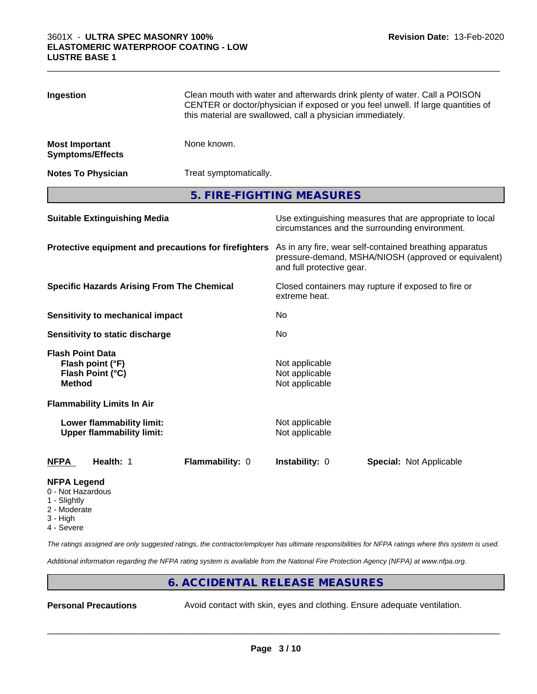| Ingestion                                             |                                                               | Clean mouth with water and afterwards drink plenty of water. Call a POISON<br>CENTER or doctor/physician if exposed or you feel unwell. If large quantities of<br>this material are swallowed, call a physician immediately. |                                                    |                                |  |
|-------------------------------------------------------|---------------------------------------------------------------|------------------------------------------------------------------------------------------------------------------------------------------------------------------------------------------------------------------------------|----------------------------------------------------|--------------------------------|--|
| <b>Most Important</b>                                 | <b>Symptoms/Effects</b>                                       | None known.                                                                                                                                                                                                                  |                                                    |                                |  |
|                                                       | <b>Notes To Physician</b>                                     | Treat symptomatically.                                                                                                                                                                                                       |                                                    |                                |  |
|                                                       |                                                               |                                                                                                                                                                                                                              | 5. FIRE-FIGHTING MEASURES                          |                                |  |
| <b>Suitable Extinguishing Media</b>                   |                                                               | Use extinguishing measures that are appropriate to local<br>circumstances and the surrounding environment.                                                                                                                   |                                                    |                                |  |
| Protective equipment and precautions for firefighters |                                                               | As in any fire, wear self-contained breathing apparatus<br>pressure-demand, MSHA/NIOSH (approved or equivalent)<br>and full protective gear.                                                                                 |                                                    |                                |  |
| <b>Specific Hazards Arising From The Chemical</b>     |                                                               | Closed containers may rupture if exposed to fire or<br>extreme heat.                                                                                                                                                         |                                                    |                                |  |
|                                                       | Sensitivity to mechanical impact                              |                                                                                                                                                                                                                              | No                                                 |                                |  |
|                                                       | Sensitivity to static discharge                               |                                                                                                                                                                                                                              | No                                                 |                                |  |
| <b>Flash Point Data</b><br><b>Method</b>              | Flash point (°F)<br>Flash Point (°C)                          |                                                                                                                                                                                                                              | Not applicable<br>Not applicable<br>Not applicable |                                |  |
|                                                       | <b>Flammability Limits In Air</b>                             |                                                                                                                                                                                                                              |                                                    |                                |  |
|                                                       | Lower flammability limit:<br><b>Upper flammability limit:</b> |                                                                                                                                                                                                                              | Not applicable<br>Not applicable                   |                                |  |
| <b>NFPA</b>                                           | Health: 1                                                     | Flammability: 0                                                                                                                                                                                                              | Instability: 0                                     | <b>Special: Not Applicable</b> |  |
| <b>NFPA Legend</b><br>0 - Not Hazardous               |                                                               |                                                                                                                                                                                                                              |                                                    |                                |  |

 $\_$  ,  $\_$  ,  $\_$  ,  $\_$  ,  $\_$  ,  $\_$  ,  $\_$  ,  $\_$  ,  $\_$  ,  $\_$  ,  $\_$  ,  $\_$  ,  $\_$  ,  $\_$  ,  $\_$  ,  $\_$  ,  $\_$  ,  $\_$  ,  $\_$  ,  $\_$  ,  $\_$  ,  $\_$  ,  $\_$  ,  $\_$  ,  $\_$  ,  $\_$  ,  $\_$  ,  $\_$  ,  $\_$  ,  $\_$  ,  $\_$  ,  $\_$  ,  $\_$  ,  $\_$  ,  $\_$  ,  $\_$  ,  $\_$  ,

- 1 Slightly
- 2 Moderate
- 3 High
- 4 Severe

*The ratings assigned are only suggested ratings, the contractor/employer has ultimate responsibilities for NFPA ratings where this system is used.*

*Additional information regarding the NFPA rating system is available from the National Fire Protection Agency (NFPA) at www.nfpa.org.*

### **6. ACCIDENTAL RELEASE MEASURES**

**Personal Precautions** Avoid contact with skin, eyes and clothing. Ensure adequate ventilation.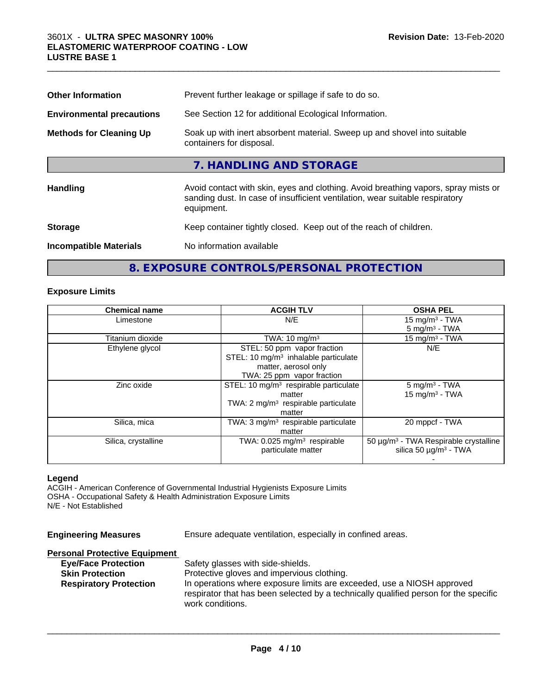| <b>Other Information</b>         | Prevent further leakage or spillage if safe to do so.                                                                                                                            |
|----------------------------------|----------------------------------------------------------------------------------------------------------------------------------------------------------------------------------|
| <b>Environmental precautions</b> | See Section 12 for additional Ecological Information.                                                                                                                            |
| <b>Methods for Cleaning Up</b>   | Soak up with inert absorbent material. Sweep up and shovel into suitable<br>containers for disposal.                                                                             |
|                                  | 7. HANDLING AND STORAGE                                                                                                                                                          |
| <b>Handling</b>                  | Avoid contact with skin, eyes and clothing. Avoid breathing vapors, spray mists or<br>sanding dust. In case of insufficient ventilation, wear suitable respiratory<br>equipment. |
| <b>Storage</b>                   | Keep container tightly closed. Keep out of the reach of children.                                                                                                                |
| <b>Incompatible Materials</b>    | No information available                                                                                                                                                         |

 $\_$  ,  $\_$  ,  $\_$  ,  $\_$  ,  $\_$  ,  $\_$  ,  $\_$  ,  $\_$  ,  $\_$  ,  $\_$  ,  $\_$  ,  $\_$  ,  $\_$  ,  $\_$  ,  $\_$  ,  $\_$  ,  $\_$  ,  $\_$  ,  $\_$  ,  $\_$  ,  $\_$  ,  $\_$  ,  $\_$  ,  $\_$  ,  $\_$  ,  $\_$  ,  $\_$  ,  $\_$  ,  $\_$  ,  $\_$  ,  $\_$  ,  $\_$  ,  $\_$  ,  $\_$  ,  $\_$  ,  $\_$  ,  $\_$  ,

## **8. EXPOSURE CONTROLS/PERSONAL PROTECTION**

### **Exposure Limits**

| <b>Chemical name</b> | <b>ACGIH TLV</b>                                  | <b>OSHA PEL</b>                                   |
|----------------------|---------------------------------------------------|---------------------------------------------------|
| Limestone            | N/E                                               | 15 mg/m $3$ - TWA                                 |
|                      |                                                   | $5 \text{ mg/m}^3$ - TWA                          |
| Titanium dioxide     | TWA: $10 \text{ mg/m}^3$                          | 15 mg/m $3$ - TWA                                 |
| Ethylene glycol      | STEL: 50 ppm vapor fraction                       | N/E                                               |
|                      | STEL: 10 $mg/m3$ inhalable particulate            |                                                   |
|                      | matter, aerosol only                              |                                                   |
|                      | TWA: 25 ppm vapor fraction                        |                                                   |
| Zinc oxide           | STEL: 10 mg/m <sup>3</sup> respirable particulate | $5 \text{ mg/m}^3$ - TWA                          |
|                      | matter                                            | $15$ mg/m <sup>3</sup> - TWA                      |
|                      | TWA: $2 \text{ mg/m}^3$ respirable particulate    |                                                   |
|                      | matter                                            |                                                   |
| Silica, mica         | TWA: $3 \text{ mg/m}^3$ respirable particulate    | 20 mppcf - TWA                                    |
|                      | matter                                            |                                                   |
| Silica, crystalline  | TWA: $0.025$ mg/m <sup>3</sup> respirable         | 50 µg/m <sup>3</sup> - TWA Respirable crystalline |
|                      | particulate matter                                | silica 50 $\mu$ g/m <sup>3</sup> - TWA            |
|                      |                                                   |                                                   |

### **Legend**

ACGIH - American Conference of Governmental Industrial Hygienists Exposure Limits OSHA - Occupational Safety & Health Administration Exposure Limits N/E - Not Established

| <b>Engineering Measures</b>                                                                                                   | Ensure adequate ventilation, especially in confined areas.                                                                                                                                                                                                            |
|-------------------------------------------------------------------------------------------------------------------------------|-----------------------------------------------------------------------------------------------------------------------------------------------------------------------------------------------------------------------------------------------------------------------|
| <b>Personal Protective Equipment</b><br><b>Eye/Face Protection</b><br><b>Skin Protection</b><br><b>Respiratory Protection</b> | Safety glasses with side-shields.<br>Protective gloves and impervious clothing.<br>In operations where exposure limits are exceeded, use a NIOSH approved<br>respirator that has been selected by a technically qualified person for the specific<br>work conditions. |
|                                                                                                                               |                                                                                                                                                                                                                                                                       |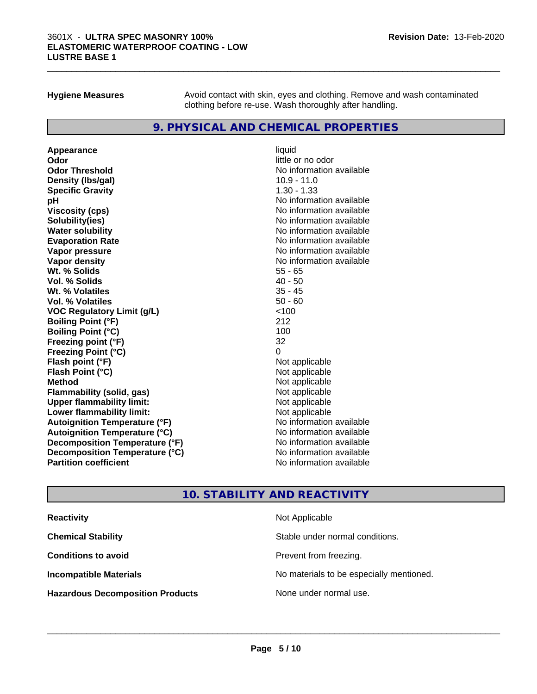**Hygiene Measures** Avoid contact with skin, eyes and clothing. Remove and wash contaminated clothing before re-use. Wash thoroughly after handling.

 $\_$  ,  $\_$  ,  $\_$  ,  $\_$  ,  $\_$  ,  $\_$  ,  $\_$  ,  $\_$  ,  $\_$  ,  $\_$  ,  $\_$  ,  $\_$  ,  $\_$  ,  $\_$  ,  $\_$  ,  $\_$  ,  $\_$  ,  $\_$  ,  $\_$  ,  $\_$  ,  $\_$  ,  $\_$  ,  $\_$  ,  $\_$  ,  $\_$  ,  $\_$  ,  $\_$  ,  $\_$  ,  $\_$  ,  $\_$  ,  $\_$  ,  $\_$  ,  $\_$  ,  $\_$  ,  $\_$  ,  $\_$  ,  $\_$  ,

### **9. PHYSICAL AND CHEMICAL PROPERTIES**

**Appearance** liquid **Odor** little or no odor **Odor Threshold** No information available **Density (Ibs/gal)** 10.9 - 11.0 **Specific Gravity** 1.30 - 1.33 **pH** No information available **Viscosity (cps)** No information available No information available **Solubility(ies)** No information available **Evaporation Rate No information available No information available Vapor pressure** No information available **Vapor density No information available No** information available **Wt. % Solids** 55 - 65 **Vol. % Solids** 40 - 50 **Wt. % Volatiles Vol. % Volatiles** 50 - 60 **VOC Regulatory Limit (g/L)** <100 **Boiling Point (°F)** 212 **Boiling Point (°C)** 100 **Freezing point (°F)** 32 **Freezing Point (°C)**<br> **Flash point (°F)**<br> **Flash point (°F)**<br> **Point (°F)**<br> **Point (°F)**<br> **Point (°F)**<br> **Point (°F)**<br> **Point (°F) Flash point (°F) Flash Point (°C)** Not applicable **Method** Not applicable **Flammability (solid, gas)** Not applicable<br> **Upper flammability limit:** Not applicable **Upper flammability limit: Lower flammability limit:** Not applicable **Autoignition Temperature (°F)** No information available **Autoignition Temperature (°C)** No information available **Decomposition Temperature (°F)** No information available **Decomposition Temperature (°C)** No information available **Partition coefficient** No information available

# **No information available**

### **10. STABILITY AND REACTIVITY**

| <b>Reactivity</b>                       | Not Applicable                           |
|-----------------------------------------|------------------------------------------|
| <b>Chemical Stability</b>               | Stable under normal conditions.          |
| <b>Conditions to avoid</b>              | Prevent from freezing.                   |
| <b>Incompatible Materials</b>           | No materials to be especially mentioned. |
| <b>Hazardous Decomposition Products</b> | None under normal use.                   |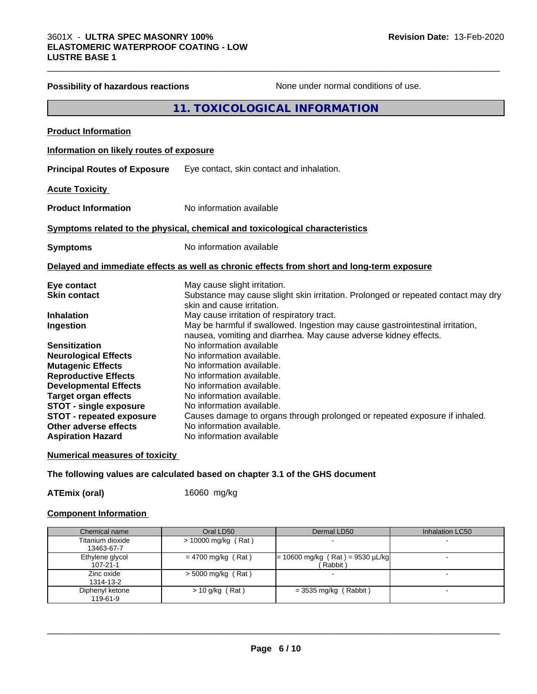|                                          | 11. TOXICOLOGICAL INFORMATION                                                              |
|------------------------------------------|--------------------------------------------------------------------------------------------|
| <b>Product Information</b>               |                                                                                            |
| Information on likely routes of exposure |                                                                                            |
| <b>Principal Routes of Exposure</b>      | Eye contact, skin contact and inhalation.                                                  |
| <b>Acute Toxicity</b>                    |                                                                                            |
| <b>Product Information</b>               | No information available                                                                   |
|                                          | Symptoms related to the physical, chemical and toxicological characteristics               |
| <b>Symptoms</b>                          | No information available                                                                   |
|                                          | Delayed and immediate effects as well as chronic effects from short and long-term exposure |
| Eye contact                              | May cause slight irritation.                                                               |
| <b>Skin contact</b>                      | Substance may cause slight skin irritation. Prolonged or repeated contact may dry          |
| <b>Inhalation</b>                        | skin and cause irritation.<br>May cause irritation of respiratory tract.                   |
| Ingestion                                | May be harmful if swallowed. Ingestion may cause gastrointestinal irritation,              |
|                                          | nausea, vomiting and diarrhea. May cause adverse kidney effects.                           |
| <b>Sensitization</b>                     | No information available                                                                   |
| <b>Neurological Effects</b>              | No information available.                                                                  |
| <b>Mutagenic Effects</b>                 | No information available.                                                                  |
| <b>Reproductive Effects</b>              | No information available.                                                                  |
| <b>Developmental Effects</b>             | No information available.                                                                  |
| <b>Target organ effects</b>              | No information available.                                                                  |
| <b>STOT - single exposure</b>            | No information available.                                                                  |
| <b>STOT - repeated exposure</b>          | Causes damage to organs through prolonged or repeated exposure if inhaled.                 |
| Other adverse effects                    | No information available.                                                                  |
| <b>Aspiration Hazard</b>                 | No information available                                                                   |

**Possibility of hazardous reactions** None under normal conditions of use.

 $\_$  ,  $\_$  ,  $\_$  ,  $\_$  ,  $\_$  ,  $\_$  ,  $\_$  ,  $\_$  ,  $\_$  ,  $\_$  ,  $\_$  ,  $\_$  ,  $\_$  ,  $\_$  ,  $\_$  ,  $\_$  ,  $\_$  ,  $\_$  ,  $\_$  ,  $\_$  ,  $\_$  ,  $\_$  ,  $\_$  ,  $\_$  ,  $\_$  ,  $\_$  ,  $\_$  ,  $\_$  ,  $\_$  ,  $\_$  ,  $\_$  ,  $\_$  ,  $\_$  ,  $\_$  ,  $\_$  ,  $\_$  ,  $\_$  ,

### **Numerical measures of toxicity**

**The following values are calculated based on chapter 3.1 of the GHS document**

**ATEmix (oral)** 16060 mg/kg

### **Component Information**

| Chemical name                     | Oral LD50            | Dermal LD50                                    | Inhalation LC50 |
|-----------------------------------|----------------------|------------------------------------------------|-----------------|
| Titanium dioxide<br>13463-67-7    | > 10000 mg/kg (Rat)  |                                                |                 |
| Ethylene glycol<br>$107 - 21 - 1$ | $= 4700$ mg/kg (Rat) | $= 10600$ mg/kg (Rat) = 9530 µL/kg<br>(Rabbit) |                 |
| Zinc oxide<br>1314-13-2           | $>$ 5000 mg/kg (Rat) |                                                |                 |
| Diphenyl ketone<br>119-61-9       | $> 10$ g/kg (Rat)    | $=$ 3535 mg/kg (Rabbit)                        |                 |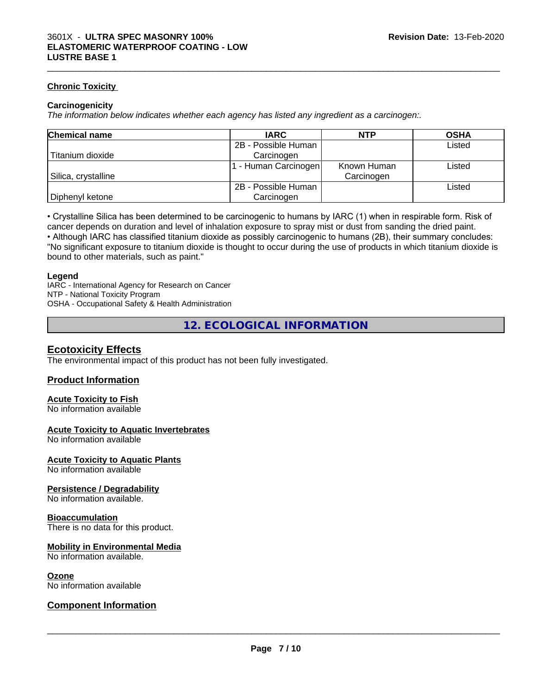### **Chronic Toxicity**

### **Carcinogenicity**

*The information below indicateswhether each agency has listed any ingredient as a carcinogen:.*

| <b>Chemical name</b> | <b>IARC</b>         | <b>NTP</b>  | <b>OSHA</b> |
|----------------------|---------------------|-------------|-------------|
|                      | 2B - Possible Human |             | Listed      |
| Titanium dioxide     | Carcinogen          |             |             |
|                      | - Human Carcinogen  | Known Human | Listed      |
| Silica, crystalline  |                     | Carcinogen  |             |
|                      | 2B - Possible Human |             | Listed      |
| Diphenyl ketone      | Carcinogen          |             |             |

 $\_$  ,  $\_$  ,  $\_$  ,  $\_$  ,  $\_$  ,  $\_$  ,  $\_$  ,  $\_$  ,  $\_$  ,  $\_$  ,  $\_$  ,  $\_$  ,  $\_$  ,  $\_$  ,  $\_$  ,  $\_$  ,  $\_$  ,  $\_$  ,  $\_$  ,  $\_$  ,  $\_$  ,  $\_$  ,  $\_$  ,  $\_$  ,  $\_$  ,  $\_$  ,  $\_$  ,  $\_$  ,  $\_$  ,  $\_$  ,  $\_$  ,  $\_$  ,  $\_$  ,  $\_$  ,  $\_$  ,  $\_$  ,  $\_$  ,

• Crystalline Silica has been determined to be carcinogenic to humans by IARC (1) when in respirable form. Risk of cancer depends on duration and level of inhalation exposure to spray mist or dust from sanding the dried paint.• Although IARC has classified titanium dioxide as possibly carcinogenic to humans (2B), their summary concludes: "No significant exposure to titanium dioxide is thought to occur during the use of products in which titanium dioxide is

bound to other materials, such as paint."

### **Legend**

IARC - International Agency for Research on Cancer NTP - National Toxicity Program OSHA - Occupational Safety & Health Administration

**12. ECOLOGICAL INFORMATION**

### **Ecotoxicity Effects**

The environmental impact of this product has not been fully investigated.

### **Product Information**

### **Acute Toxicity to Fish**

No information available

### **Acute Toxicity to Aquatic Invertebrates**

No information available

### **Acute Toxicity to Aquatic Plants**

No information available

### **Persistence / Degradability**

No information available.

### **Bioaccumulation**

There is no data for this product.

### **Mobility in Environmental Media**

No information available.

### **Ozone**

No information available

### **Component Information**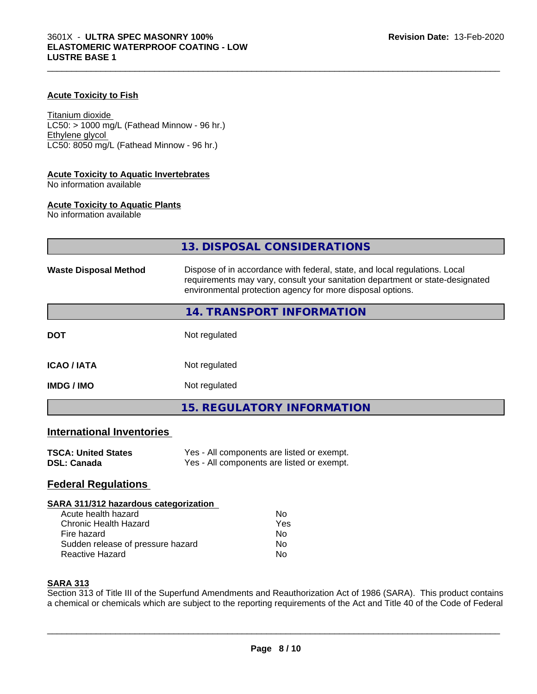### **Acute Toxicity to Fish**

Titanium dioxide  $LC50:$  > 1000 mg/L (Fathead Minnow - 96 hr.) Ethylene glycol LC50: 8050 mg/L (Fathead Minnow - 96 hr.)

### **Acute Toxicity to Aquatic Invertebrates**

No information available

### **Acute Toxicity to Aquatic Plants**

No information available

|                                  | 13. DISPOSAL CONSIDERATIONS                                                                                                                                                                                               |
|----------------------------------|---------------------------------------------------------------------------------------------------------------------------------------------------------------------------------------------------------------------------|
| <b>Waste Disposal Method</b>     | Dispose of in accordance with federal, state, and local regulations. Local<br>requirements may vary, consult your sanitation department or state-designated<br>environmental protection agency for more disposal options. |
|                                  | 14. TRANSPORT INFORMATION                                                                                                                                                                                                 |
| <b>DOT</b>                       | Not regulated                                                                                                                                                                                                             |
| <b>ICAO/IATA</b>                 | Not regulated                                                                                                                                                                                                             |
| <b>IMDG / IMO</b>                | Not regulated                                                                                                                                                                                                             |
|                                  | <b>15. REGULATORY INFORMATION</b>                                                                                                                                                                                         |
| <b>International Inventories</b> |                                                                                                                                                                                                                           |

### **TSCA: United States** Yes - All components are listed or exempt.<br> **DSL: Canada** Yes - All components are listed or exempt. Yes - All components are listed or exempt.

### **Federal Regulations**

### **SARA 311/312 hazardous categorization**

| Acute health hazard               | Nο  |
|-----------------------------------|-----|
| Chronic Health Hazard             | Yes |
| Fire hazard                       | Nο  |
| Sudden release of pressure hazard | N٥  |
| Reactive Hazard                   | Nο  |

### **SARA 313**

Section 313 of Title III of the Superfund Amendments and Reauthorization Act of 1986 (SARA). This product contains a chemical or chemicals which are subject to the reporting requirements of the Act and Title 40 of the Code of Federal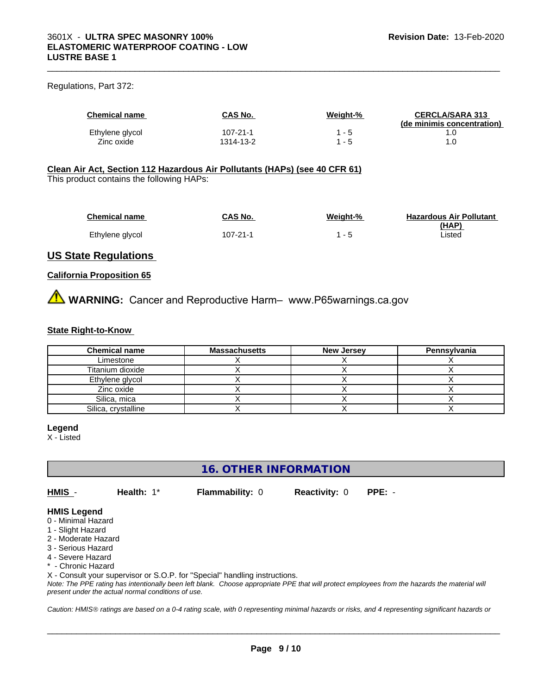### Regulations, Part 372:

| <b>Chemical name</b> | CAS No.   | Weight-% | <b>CERCLA/SARA 313</b><br>(de minimis concentration) |
|----------------------|-----------|----------|------------------------------------------------------|
| Ethylene glycol      | 107-21-1  | - 5      |                                                      |
| Zinc oxide           | 1314-13-2 | - 5      |                                                      |

 $\_$  ,  $\_$  ,  $\_$  ,  $\_$  ,  $\_$  ,  $\_$  ,  $\_$  ,  $\_$  ,  $\_$  ,  $\_$  ,  $\_$  ,  $\_$  ,  $\_$  ,  $\_$  ,  $\_$  ,  $\_$  ,  $\_$  ,  $\_$  ,  $\_$  ,  $\_$  ,  $\_$  ,  $\_$  ,  $\_$  ,  $\_$  ,  $\_$  ,  $\_$  ,  $\_$  ,  $\_$  ,  $\_$  ,  $\_$  ,  $\_$  ,  $\_$  ,  $\_$  ,  $\_$  ,  $\_$  ,  $\_$  ,  $\_$  ,

### **Clean Air Act,Section 112 Hazardous Air Pollutants (HAPs) (see 40 CFR 61)**

This product contains the following HAPs:

| <b>Chemical name</b> | CAS No.  | Weight-% | <b>Hazardous Air Pollutant</b> |
|----------------------|----------|----------|--------------------------------|
|                      |          |          | (HAP)                          |
| Ethylene glycol      | 107-21-1 | - 5      | Listed                         |

### **US State Regulations**

### **California Proposition 65**

**AVIMARNING:** Cancer and Reproductive Harm– www.P65warnings.ca.gov

### **State Right-to-Know**

| <b>Chemical name</b> | <b>Massachusetts</b> | <b>New Jersey</b> | Pennsylvania |
|----------------------|----------------------|-------------------|--------------|
| Limestone            |                      |                   |              |
| Titanium dioxide     |                      |                   |              |
| Ethylene glycol      |                      |                   |              |
| Zinc oxide           |                      |                   |              |
| Silica, mica         |                      |                   |              |
| Silica, crystalline  |                      |                   |              |

### **Legend**

X - Listed

### **16. OTHER INFORMATION**

**HMIS** - **Health:** 1\* **Flammability:** 0 **Reactivity:** 0 **PPE:** -

 $\overline{\phantom{a}}$  ,  $\overline{\phantom{a}}$  ,  $\overline{\phantom{a}}$  ,  $\overline{\phantom{a}}$  ,  $\overline{\phantom{a}}$  ,  $\overline{\phantom{a}}$  ,  $\overline{\phantom{a}}$  ,  $\overline{\phantom{a}}$  ,  $\overline{\phantom{a}}$  ,  $\overline{\phantom{a}}$  ,  $\overline{\phantom{a}}$  ,  $\overline{\phantom{a}}$  ,  $\overline{\phantom{a}}$  ,  $\overline{\phantom{a}}$  ,  $\overline{\phantom{a}}$  ,  $\overline{\phantom{a}}$ 

### **HMIS Legend**

- 0 Minimal Hazard
- 1 Slight Hazard
- 2 Moderate Hazard
- 3 Serious Hazard
- 4 Severe Hazard
- \* Chronic Hazard

X - Consult your supervisor or S.O.P. for "Special" handling instructions.

*Note: The PPE rating has intentionally been left blank. Choose appropriate PPE that will protect employees from the hazards the material will present under the actual normal conditions of use.*

*Caution: HMISÒ ratings are based on a 0-4 rating scale, with 0 representing minimal hazards or risks, and 4 representing significant hazards or*